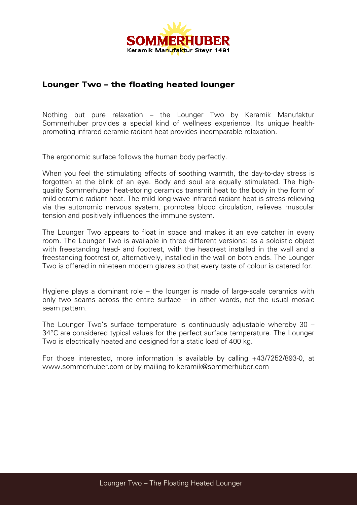

## **Lounger Two – the floating heated lounger**

Nothing but pure relaxation – the Lounger Two by Keramik Manufaktur Sommerhuber provides a special kind of wellness experience. Its unique healthpromoting infrared ceramic radiant heat provides incomparable relaxation.

The ergonomic surface follows the human body perfectly.

When you feel the stimulating effects of soothing warmth, the day-to-day stress is forgotten at the blink of an eye. Body and soul are equally stimulated. The highquality Sommerhuber heat-storing ceramics transmit heat to the body in the form of mild ceramic radiant heat. The mild long-wave infrared radiant heat is stress-relieving via the autonomic nervous system, promotes blood circulation, relieves muscular tension and positively influences the immune system.

The Lounger Two appears to float in space and makes it an eye catcher in every room. The Lounger Two is available in three different versions: as a soloistic object with freestanding head- and footrest, with the headrest installed in the wall and a freestanding footrest or, alternatively, installed in the wall on both ends. The Lounger Two is offered in nineteen modern glazes so that every taste of colour is catered for.

Hygiene plays a dominant role – the lounger is made of large-scale ceramics with only two seams across the entire surface – in other words, not the usual mosaic seam pattern.

The Lounger Two's surface temperature is continuously adjustable whereby 30 – 34°C are considered typical values for the perfect surface temperature. The Lounger Two is electrically heated and designed for a static load of 400 kg.

For those interested, more information is available by calling +43/7252/893-0, at [www.sommerhuber.com](http://www.sommerhuber.com/) or by mailing to [keramik@sommerhuber.com](mailto:keramik@sommerhuber.com)